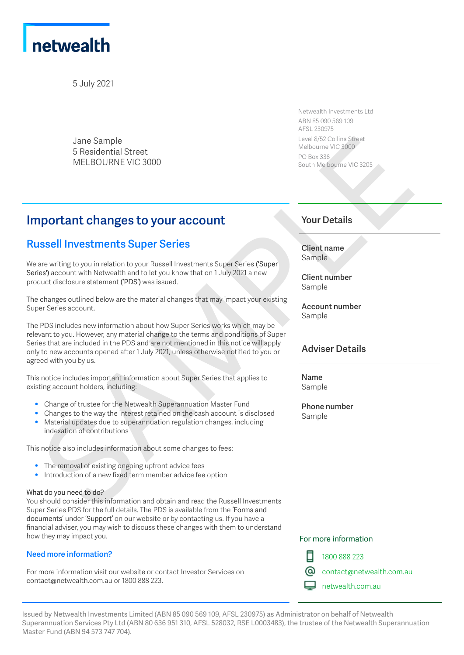

5 July 2021

Jane Sample 5 Residential Street MELBOURNE VIC 3000

Netwealth Investments Ltd ABN 85 090 569 109 AFSL 230975 Level 8/52 Collins Street Melbourne VIC 3000 PO Box 336 South Melbourne VIC 3205

# **Important changes to your account**

## **Russell Investments Super Series**

We are writing to you in relation to your Russell Investments Super Series ('Super Series') account with Netwealth and to let you know that on 1 July 2021 a new product disclosure statement ('PDS') was issued.

The changes outlined below are the material changes that may impact your existing Super Series account.

The PDS includes new information about how Super Series works which may be relevant to you. However, any material change to the terms and conditions of Super Series that are included in the PDS and are not mentioned in this notice will apply only to new accounts opened after 1 July 2021, unless otherwise notified to you or agreed with you by us. Similar Sample<br>
Sample Sample (870 cm) started and the control of the CS-cm) started and the control of the CS-cm<br>
Sample SAMPLE SOURCE VICE 3000<br>
South Melisson of the CS-cm<br>
Sample Sample Street Control of the control o

This notice includes important information about Super Series that applies to existing account holders, including:

- Change of trustee for the Netwealth Superannuation Master Fund
- Changes to the way the interest retained on the cash account is disclosed
- Material updates due to superannuation regulation changes, including indexation of contributions

This notice also includes information about some changes to fees:

- The removal of existing ongoing upfront advice fees<br>• Introduction of a new fixed term member advice fee
- Introduction of a new fixed term member advice fee option

#### What do you need to do?

You should consider this information and obtain and read the Russell Investments Super Series PDS for the full details. The PDS is available from the 'Forms and documents' under 'Support' on our website or by contacting us. If you have a financial adviser, you may wish to discuss these changes with them to understand how they may impact you.

#### **Need more information?**

For more information visit our website or contact Investor Services on contact@netwealth.com.au or 1800 888 223.

### **Your Details**

**Client name** Sample

**Client number** Sample

**Account number** Sample

### **Adviser Details**

**Name** Sample

**Phone number** Sample

#### For more information



1800 888 223

contact@netwealth.com.au

netwealth.com.au

Issued by Netwealth Investments Limited (ABN 85 090 569 109, AFSL 230975) as Administrator on behalf of Netwealth Superannuation Services Pty Ltd (ABN 80 636 951 310, AFSL 528032, RSE L0003483), the trustee of the Netwealth Superannuation Master Fund (ABN 94 573 747 704).